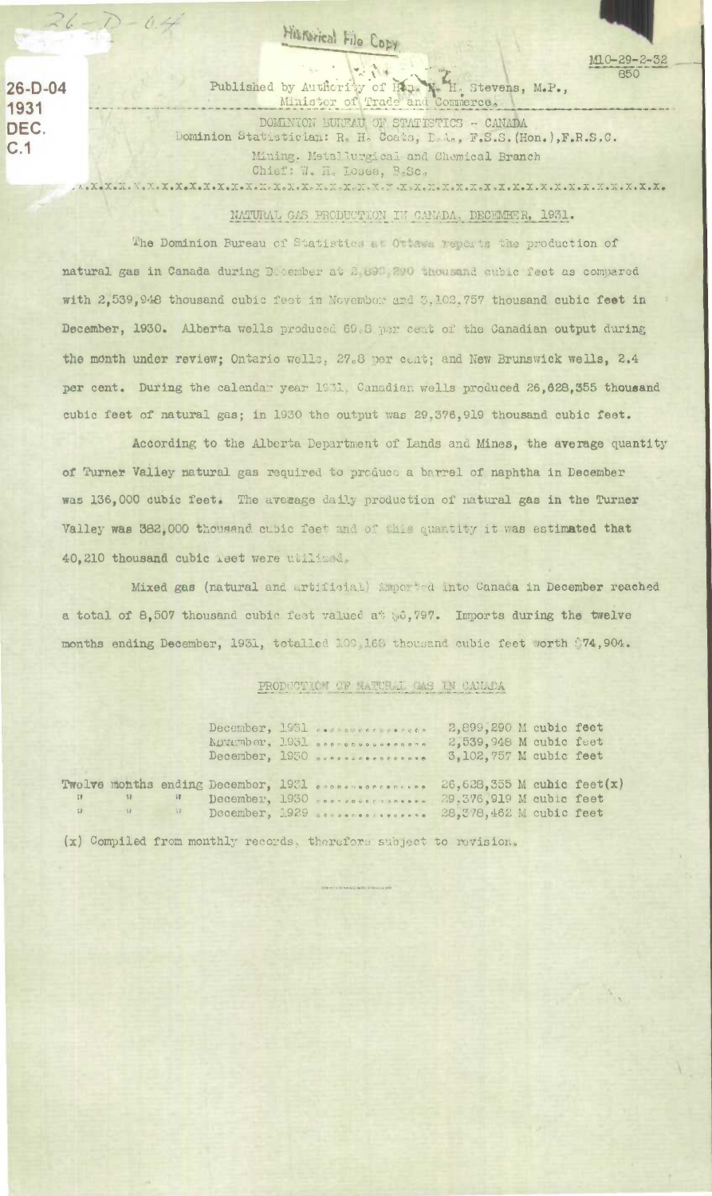## Historical File Copy

 $26-D-04$ 1931 DEC.  $C.1$ 

by Authcrity of Hone H. Stevens, M.P., Published by Authority of Hon.

DOMINION BUREAU OF STATISTICS - CANADA Dominion Statistician: R. H. Coats, L.A., F.S.S. (Hon.), F.R.S.C. Mining, Metallurgical and Chemical Branch Chief: W. H. Losee, B.Sc. 

 $M10 - 29 - 2 - 32$ 

850

NATURAL GAS PRODUCTION IN CANADA, DECEMBER, 1931.

The Dominion Bureau of Statistics at Ottawa reports the production of natural gas in Canada during December at 2 890, 390 thousand cubic feet as compared with 2,539,948 thousand cubic feet in November and 3,102,757 thousand cubic feet in December, 1930. Alberta wells produced 69.8 per cent of the Canadian output during the month under review; Ontario wells, 27.8 per cent; and New Brunswick wells, 2.4 per cent. During the calendar year 1931, Canadian wells produced 26,628,355 thousand cubic feet of natural gas; in 1930 the output was 29,376,919 thousand cubic feet.

According to the Alberta Department of Lands and Mines, the average quantity of Turner Valley natural gas required to produce a barrel of naphtha in December was 136,000 cubic feet. The average daily production of natural gas in the Turner Valley was 382,000 thousand cubic feet and of this quantity it was estimated that 40,210 thousand cubic reet were utilized.

Mixed gas (natural and artificial) imported into Canada in December reached a total of 8,507 thousand cubic fest valued at 56,797. Imports during the twelve months ending December, 1931, totalled 109 168 thousand cubic feet worth \$74,904.

PRODUCTION OF MATURAL CAS IN CAMADA

|  |  | December, 1951 consideration<br>NONEmber, 1931 secretaries<br>December, 1950 occasionalesses                                                      | 2,899,290 M cubic feet<br>2,539,948 M cubic feet<br>3,102,757 M cubic feet |  |
|--|--|---------------------------------------------------------------------------------------------------------------------------------------------------|----------------------------------------------------------------------------|--|
|  |  | Twelve months ending December, 1931 essesseccessions<br>December, 1930 conservations.<br>a a Becember, 1929 coordensesses 28,378,462 M cubic feet | $26,628,355$ M cubic feet(x)<br>29,376,919 M cubic feet                    |  |

(x) Compiled from monthly records, therefore subject to revision.